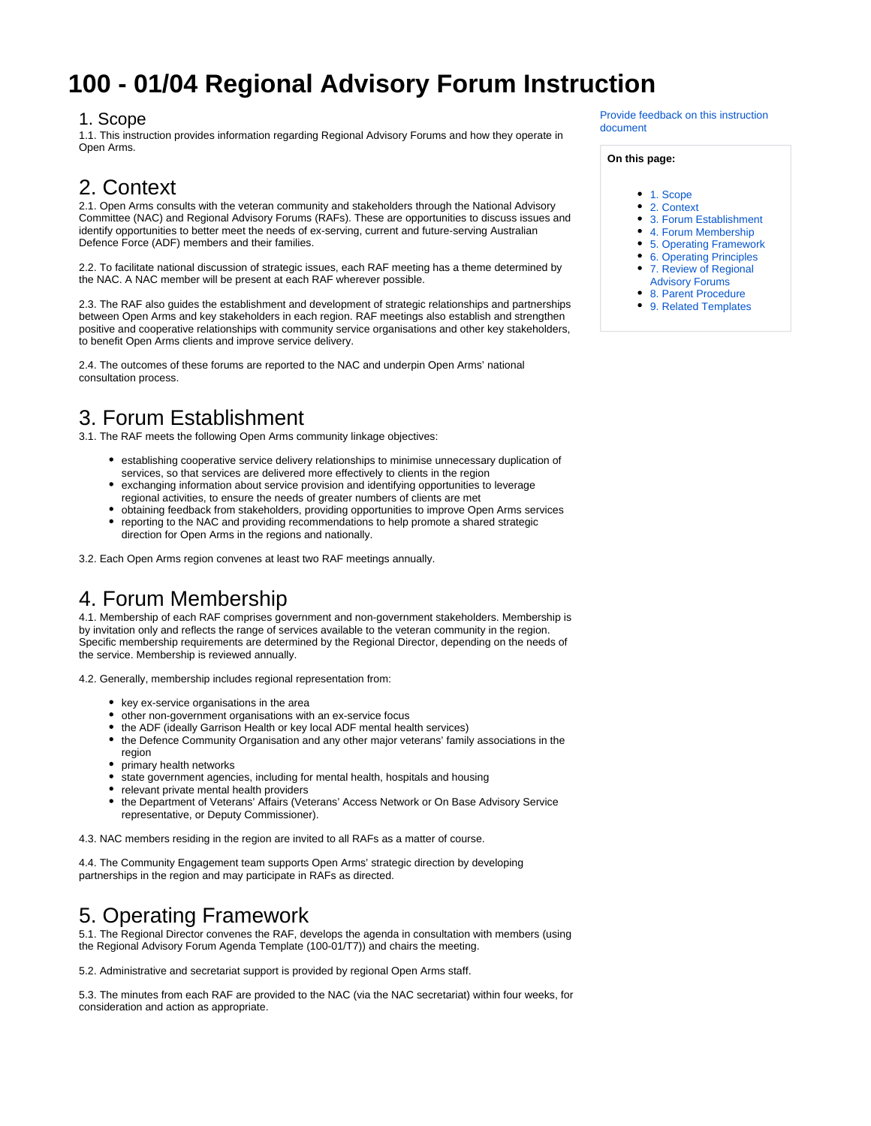# **100 - 01/04 Regional Advisory Forum Instruction**

#### <span id="page-0-0"></span>1. Scope

1.1. This instruction provides information regarding Regional Advisory Forums and how they operate in Open Arms.

#### <span id="page-0-1"></span>2. Context

2.1. Open Arms consults with the veteran community and stakeholders through the National Advisory Committee (NAC) and Regional Advisory Forums (RAFs). These are opportunities to discuss issues and identify opportunities to better meet the needs of ex-serving, current and future-serving Australian Defence Force (ADF) members and their families.

2.2. To facilitate national discussion of strategic issues, each RAF meeting has a theme determined by the NAC. A NAC member will be present at each RAF wherever possible.

2.3. The RAF also guides the establishment and development of strategic relationships and partnerships between Open Arms and key stakeholders in each region. RAF meetings also establish and strengthen positive and cooperative relationships with community service organisations and other key stakeholders, to benefit Open Arms clients and improve service delivery.

2.4. The outcomes of these forums are reported to the NAC and underpin Open Arms' national consultation process.

## <span id="page-0-2"></span>3. Forum Establishment

3.1. The RAF meets the following Open Arms community linkage objectives:

- establishing cooperative service delivery relationships to minimise unnecessary duplication of services, so that services are delivered more effectively to clients in the region
- exchanging information about service provision and identifying opportunities to leverage regional activities, to ensure the needs of greater numbers of clients are met
- obtaining feedback from stakeholders, providing opportunities to improve Open Arms services reporting to the NAC and providing recommendations to help promote a shared strategic direction for Open Arms in the regions and nationally.

3.2. Each Open Arms region convenes at least two RAF meetings annually.

## <span id="page-0-3"></span>4. Forum Membership

4.1. Membership of each RAF comprises government and non-government stakeholders. Membership is by invitation only and reflects the range of services available to the veteran community in the region. Specific membership requirements are determined by the Regional Director, depending on the needs of the service. Membership is reviewed annually.

4.2. Generally, membership includes regional representation from:

- key ex-service organisations in the area
- other non-government organisations with an ex-service focus
- the ADF (ideally Garrison Health or key local ADF mental health services)
- the Defence Community Organisation and any other major veterans' family associations in the region
- primary health networks
- state government agencies, including for mental health, hospitals and housing
- relevant private mental health providers
- the Department of Veterans' Affairs (Veterans' Access Network or On Base Advisory Service representative, or Deputy Commissioner).

4.3. NAC members residing in the region are invited to all RAFs as a matter of course.

4.4. The Community Engagement team supports Open Arms' strategic direction by developing partnerships in the region and may participate in RAFs as directed.

## <span id="page-0-4"></span>5. Operating Framework

5.1. The Regional Director convenes the RAF, develops the agenda in consultation with members (using the Regional Advisory Forum Agenda Template (100-01/T7)) and chairs the meeting.

5.2. Administrative and secretariat support is provided by regional Open Arms staff.

<span id="page-0-5"></span>5.3. The minutes from each RAF are provided to the NAC (via the NAC secretariat) within four weeks, for consideration and action as appropriate.

[Provide feedback on this instruction](mailto:OPENARMSPOLICY@dva.gov.au?subject=Clinical%20Practice%20Policy%20Feedback:%20100%20-%2001/04%20Regional%20Advisory%20Forum%20Instruction)  [document](mailto:OPENARMSPOLICY@dva.gov.au?subject=Clinical%20Practice%20Policy%20Feedback:%20100%20-%2001/04%20Regional%20Advisory%20Forum%20Instruction)

#### **On this page:**

- [1. Scope](#page-0-0)
- [2. Context](#page-0-1)
- [3. Forum Establishment](#page-0-2)
- [4. Forum Membership](#page-0-3)
- [5. Operating Framework](#page-0-4)
- [6. Operating Principles](#page-0-5)
- [7. Review of Regional](#page-1-0) 
	- [Advisory Forums](#page-1-0)
- [8. Parent Procedure](#page-1-1)
- [9. Related Templates](#page-1-2)